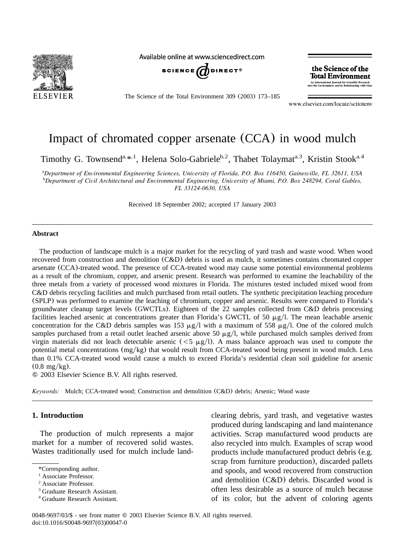

Available online at www.sciencedirect.com



The Science of the Total Environment 309 (2003) 173–185

the Science of the **Total Environment** An International Journal for Scientific Research<br>into the Environment and its Relationship with Ma

www.elsevier.com/locate/scitotenv

# Impact of chromated copper arsenate (CCA) in wood mulch

Timothy G. Townsend<sup>a, \*, 1</sup>, Helena Solo-Gabriele<sup>b, 2</sup>, Thabet Tolaymat<sup>a, 3</sup>, Kristin Stook<sup>a, 4</sup>

*Department of Environmental Engineering Sciences, University of Florida, P.O. Box 116450, Gainesville, FL 32611, USA* <sup>a</sup> *Department of Civil Architectural and Environmental Engineering, University of Miami, P.O. Box 248294, Coral Gables,* <sup>b</sup> *FL 33124-0630, USA*

Received 18 September 2002; accepted 17 January 2003

#### **Abstract**

The production of landscape mulch is a major market for the recycling of yard trash and waste wood. When wood recovered from construction and demolition (C&D) debris is used as mulch, it sometimes contains chromated copper arsenate (CCA)-treated wood. The presence of CCA-treated wood may cause some potential environmental problems as a result of the chromium, copper, and arsenic present. Research was performed to examine the leachability of the three metals from a variety of processed wood mixtures in Florida. The mixtures tested included mixed wood from C&D debris recycling facilities and mulch purchased from retail outlets. The synthetic precipitation leaching procedure (SPLP) was performed to examine the leaching of chromium, copper and arsenic. Results were compared to Florida's groundwater cleanup target levels (GWCTLs). Eighteen of the 22 samples collected from C&D debris processing facilities leached arsenic at concentrations greater than Florida's GWCTL of 50  $\mu$ g/l. The mean leachable arsenic concentration for the C&D debris samples was 153  $\mu$ g/l with a maximum of 558  $\mu$ g/l. One of the colored mulch samples purchased from a retail outlet leached arsenic above 50  $\mu$ g/l, while purchased mulch samples derived from virgin materials did not leach detectable arsenic ( $<$ 5  $\mu$ g/l). A mass balance approach was used to compute the potential metal concentrations (mg/kg) that would result from CCA-treated wood being present in wood mulch. Less than 0.1% CCA-treated wood would cause a mulch to exceed Florida's residential clean soil guideline for arsenic  $(0.8 \text{ mg/kg})$ .

2003 Elsevier Science B.V. All rights reserved.

*Keywords:* Mulch; CCA-treated wood; Construction and demolition (C&D) debris; Arsenic; Wood waste

## **1. Introduction**

The production of mulch represents a major market for a number of recovered solid wastes. Wastes traditionally used for mulch include landclearing debris, yard trash, and vegetative wastes produced during landscaping and land maintenance activities. Scrap manufactured wood products are also recycled into mulch. Examples of scrap wood products include manufactured product debris (e.g. scrap from furniture production), discarded pallets and spools, and wood recovered from construction and demolition (C&D) debris. Discarded wood is often less desirable as a source of mulch because of its color, but the advent of coloring agents

<sup>\*</sup>Corresponding author.

<sup>&</sup>lt;sup>1</sup> Associate Professor.

<sup>&</sup>lt;sup>2</sup> Associate Professor.

<sup>&</sup>lt;sup>3</sup> Graduate Research Assistant.

<sup>&</sup>lt;sup>4</sup> Graduate Research Assistant.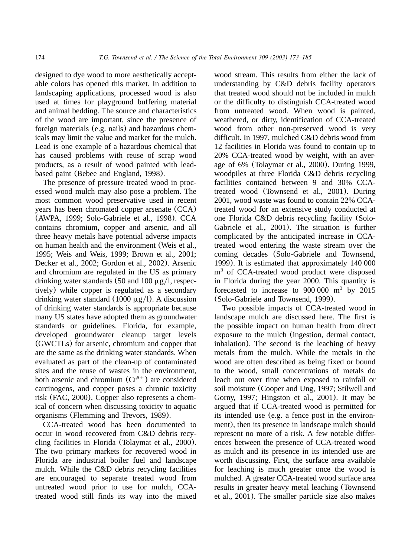designed to dye wood to more aesthetically acceptable colors has opened this market. In addition to landscaping applications, processed wood is also used at times for playground buffering material and animal bedding. The source and characteristics of the wood are important, since the presence of foreign materials (e.g. nails) and hazardous chemicals may limit the value and market for the mulch. Lead is one example of a hazardous chemical that has caused problems with reuse of scrap wood products, as a result of wood painted with leadbased paint ([Bebee and England, 1998](#page-11-0)).

The presence of pressure treated wood in processed wood mulch may also pose a problem. The most common wood preservative used in recent years has been chromated copper arsenate (CCA) ([AWPA, 1999; Solo-Gabriele et al., 1998](#page-11-0)). CCA contains chromium, copper and arsenic, and all three heavy metals have potential adverse impacts on human health and the environment ([Weis et al.,](#page-12-0) [1995; Weis and Weis, 1999; Brown et al., 2001;](#page-12-0) [Decker et al., 2002; Gordon et al., 2002](#page-12-0)). Arsenic and chromium are regulated in the US as primary drinking water standards (50 and 100  $\mu$ g/l, respectively) while copper is regulated as a secondary drinking water standard (1000  $\mu$ g/l). A discussion of drinking water standards is appropriate because many US states have adopted them as groundwater standards or guidelines. Florida, for example, developed groundwater cleanup target levels (GWCTLs) for arsenic, chromium and copper that are the same as the drinking water standards. When evaluated as part of the clean-up of contaminated sites and the reuse of wastes in the environment, both arsenic and chromium  $(Cr^{6+})$  are considered carcinogens, and copper poses a chronic toxicity risk ([FAC, 2000](#page-11-0)). Copper also represents a chemical of concern when discussing toxicity to aquatic organisms ([Flemming and Trevors, 1989](#page-11-0)).

CCA-treated wood has been documented to occur in wood recovered from C&D debris recycling facilities in Florida ([Tolaymat et al., 2000](#page-11-0)). The two primary markets for recovered wood in Florida are industrial boiler fuel and landscape mulch. While the C&D debris recycling facilities are encouraged to separate treated wood from untreated wood prior to use for mulch, CCAtreated wood still finds its way into the mixed

wood stream. This results from either the lack of understanding by C&D debris facility operators that treated wood should not be included in mulch or the difficulty to distinguish CCA-treated wood from untreated wood. When wood is painted, weathered, or dirty, identification of CCA-treated wood from other non-preserved wood is very difficult. In 1997, mulched C&D debris wood from 12 facilities in Florida was found to contain up to 20% CCA-treated wood by weight, with an average of 6% ([Tolaymat et al., 2000](#page-11-0)). During 1999, woodpiles at three Florida C&D debris recycling facilities contained between 9 and 30% CCAtreated wood ([Townsend et al., 2001](#page-11-0)). During 2001, wood waste was found to contain 22% CCAtreated wood for an extensive study conducted at one Florida C&D debris recycling facility ([Solo-](#page-11-0)[Gabriele et al., 2001](#page-11-0)). The situation is further complicated by the anticipated increase in CCAtreated wood entering the waste stream over the coming decades ([Solo-Gabriele and Townsend,](#page-11-0) [1999](#page-11-0)). It is estimated that approximately 140 000  $m<sup>3</sup>$  of CCA-treated wood product were disposed in Florida during the year 2000. This quantity is forecasted to increase to  $900\,000\,$  m<sup>3</sup> by 2015 ([Solo-Gabriele and Townsend, 1999](#page-11-0)).

Two possible impacts of CCA-treated wood in landscape mulch are discussed here. The first is the possible impact on human health from direct exposure to the mulch (ingestion, dermal contact, inhalation). The second is the leaching of heavy metals from the mulch. While the metals in the wood are often described as being fixed or bound to the wood, small concentrations of metals do leach out over time when exposed to rainfall or soil moisture ([Cooper and Ung, 1997; Stilwell and](#page-11-0) [Gorny, 1997; Hingston et al., 2001](#page-11-0)). It may be argued that if CCA-treated wood is permitted for its intended use (e.g. a fence post in the environment), then its presence in landscape mulch should represent no more of a risk. A few notable differences between the presence of CCA-treated wood as mulch and its presence in its intended use are worth discussing. First, the surface area available for leaching is much greater once the wood is mulched. A greater CCA-treated wood surface area results in greater heavy metal leaching ([Townsend](#page-11-0) [et al., 2001](#page-11-0)). The smaller particle size also makes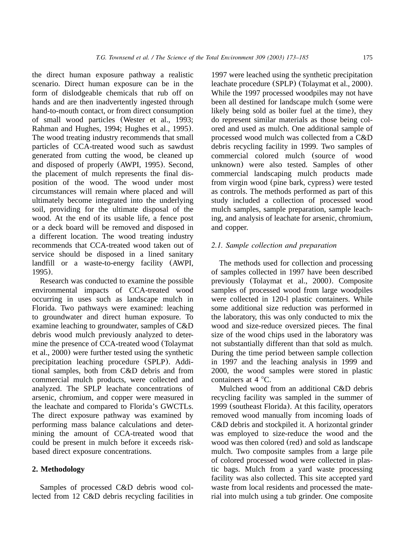the direct human exposure pathway a realistic scenario. Direct human exposure can be in the form of dislodgeable chemicals that rub off on hands and are then inadvertently ingested through hand-to-mouth contact, or from direct consumption of small wood particles ([Wester et al., 1993;](#page-12-0) [Rahman and Hughes, 1994; Hughes et al., 1995](#page-12-0)). The wood treating industry recommends that small particles of CCA-treated wood such as sawdust generated from cutting the wood, be cleaned up and disposed of properly ([AWPI, 1995](#page-11-0)). Second, the placement of mulch represents the final disposition of the wood. The wood under most circumstances will remain where placed and will ultimately become integrated into the underlying soil, providing for the ultimate disposal of the wood. At the end of its usable life, a fence post or a deck board will be removed and disposed in a different location. The wood treating industry recommends that CCA-treated wood taken out of service should be disposed in a lined sanitary landfill or a waste-to-energy facility ([AWPI,](#page-11-0) [1995](#page-11-0)).

Research was conducted to examine the possible environmental impacts of CCA-treated wood occurring in uses such as landscape mulch in Florida. Two pathways were examined: leaching to groundwater and direct human exposure. To examine leaching to groundwater, samples of C&D debris wood mulch previously analyzed to determine the presence of CCA-treated wood ([Tolaymat](#page-11-0) [et al., 2000](#page-11-0)) were further tested using the synthetic precipitation leaching procedure (SPLP). Additional samples, both from C&D debris and from commercial mulch products, were collected and analyzed. The SPLP leachate concentrations of arsenic, chromium, and copper were measured in the leachate and compared to Florida's GWCTLs. The direct exposure pathway was examined by performing mass balance calculations and determining the amount of CCA-treated wood that could be present in mulch before it exceeds riskbased direct exposure concentrations.

## **2. Methodology**

Samples of processed C&D debris wood collected from 12 C&D debris recycling facilities in

1997 were leached using the synthetic precipitation leachate procedure (SPLP) ([Tolaymat et al., 2000](#page-11-0)). While the 1997 processed woodpiles may not have been all destined for landscape mulch (some were likely being sold as boiler fuel at the time), they do represent similar materials as those being colored and used as mulch. One additional sample of processed wood mulch was collected from a C&D debris recycling facility in 1999. Two samples of commercial colored mulch (source of wood unknown) were also tested. Samples of other commercial landscaping mulch products made from virgin wood (pine bark, cypress) were tested as controls. The methods performed as part of this study included a collection of processed wood mulch samples, sample preparation, sample leaching, and analysis of leachate for arsenic, chromium, and copper.

## *2.1. Sample collection and preparation*

The methods used for collection and processing of samples collected in 1997 have been described previously ([Tolaymat et al., 2000](#page-11-0)). Composite samples of processed wood from large woodpiles were collected in 120-l plastic containers. While some additional size reduction was performed in the laboratory, this was only conducted to mix the wood and size-reduce oversized pieces. The final size of the wood chips used in the laboratory was not substantially different than that sold as mulch. During the time period between sample collection in 1997 and the leaching analysis in 1999 and 2000, the wood samples were stored in plastic containers at  $4^{\circ}$ C.

Mulched wood from an additional C&D debris recycling facility was sampled in the summer of 1999 (southeast Florida). At this facility, operators removed wood manually from incoming loads of C&D debris and stockpiled it. A horizontal grinder was employed to size-reduce the wood and the wood was then colored (red) and sold as landscape mulch. Two composite samples from a large pile of colored processed wood were collected in plastic bags. Mulch from a yard waste processing facility was also collected. This site accepted yard waste from local residents and processed the material into mulch using a tub grinder. One composite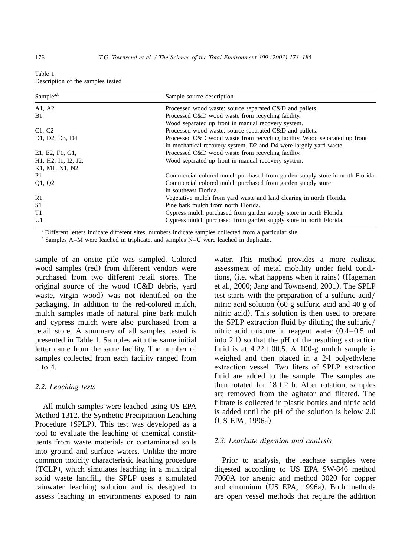| Table 1                           |  |  |
|-----------------------------------|--|--|
| Description of the samples tested |  |  |

| Sample <sup>a,b</sup>                                                                | Sample source description                                                     |
|--------------------------------------------------------------------------------------|-------------------------------------------------------------------------------|
| A1, A2                                                                               | Processed wood waste: source separated C&D and pallets.                       |
| B1                                                                                   | Processed C&D wood waste from recycling facility.                             |
|                                                                                      | Wood separated up front in manual recovery system.                            |
| C1, C2                                                                               | Processed wood waste: source separated C&D and pallets.                       |
| D <sub>1</sub> , D <sub>2</sub> , D <sub>3</sub> , D <sub>4</sub>                    | Processed C&D wood waste from recycling facility. Wood separated up front     |
|                                                                                      | in mechanical recovery system. D2 and D4 were largely yard waste.             |
| E1, E2, F1, G1,                                                                      | Processed C&D wood waste from recycling facility.                             |
| H <sub>1</sub> , H <sub>2</sub> , I <sub>1</sub> , I <sub>2</sub> , J <sub>2</sub> , | Wood separated up front in manual recovery system.                            |
| K1, M1, N1, N2                                                                       |                                                                               |
| P1                                                                                   | Commercial colored mulch purchased from garden supply store in north Florida. |
| Q1, Q2                                                                               | Commercial colored mulch purchased from garden supply store                   |
|                                                                                      | in southeast Florida.                                                         |
| R1                                                                                   | Vegetative mulch from yard waste and land clearing in north Florida.          |
| S <sub>1</sub>                                                                       | Pine bark mulch from north Florida.                                           |
| T1                                                                                   | Cypress mulch purchased from garden supply store in north Florida.            |
| U1                                                                                   | Cypress mulch purchased from garden supply store in north Florida.            |

<sup>a</sup> Different letters indicate different sites, numbers indicate samples collected from a particular site.

<sup>b</sup> Samples A–M were leached in triplicate, and samples N–U were leached in duplicate.

sample of an onsite pile was sampled. Colored wood samples (red) from different vendors were purchased from two different retail stores. The original source of the wood (C&D debris, yard waste, virgin wood) was not identified on the packaging. In addition to the red-colored mulch, mulch samples made of natural pine bark mulch and cypress mulch were also purchased from a retail store. A summary of all samples tested is presented in Table 1. Samples with the same initial letter came from the same facility. The number of samples collected from each facility ranged from 1 to 4.

# *2.2. Leaching tests*

All mulch samples were leached using US EPA Method 1312, the Synthetic Precipitation Leaching Procedure (SPLP). This test was developed as a tool to evaluate the leaching of chemical constituents from waste materials or contaminated soils into ground and surface waters. Unlike the more common toxicity characteristic leaching procedure (TCLP), which simulates leaching in a municipal solid waste landfill, the SPLP uses a simulated rainwater leaching solution and is designed to assess leaching in environments exposed to rain

water. This method provides a more realistic assessment of metal mobility under field conditions, (i.e. what happens when it rains) ([Hageman](#page-11-0) [et al., 2000; Jang and Townsend, 2001](#page-11-0)). The SPLP test starts with the preparation of a sulfuric acid/ nitric acid solution (60 g sulfuric acid and 40 g of nitric acid). This solution is then used to prepare the SPLP extraction fluid by diluting the sulfuric/ nitric acid mixture in reagent water (0.4–0.5 ml into 2 l) so that the pH of the resulting extraction fluid is at  $4.22 \pm 00.5$ . A 100-g mulch sample is weighed and then placed in a 2-l polyethylene extraction vessel. Two liters of SPLP extraction fluid are added to the sample. The samples are then rotated for  $18 \pm 2$  h. After rotation, samples are removed from the agitator and filtered. The filtrate is collected in plastic bottles and nitric acid is added until the pH of the solution is below 2.0 ([US EPA, 1996a](#page-12-0)).

# *2.3. Leachate digestion and analysis*

Prior to analysis, the leachate samples were digested according to US EPA SW-846 method 7060A for arsenic and method 3020 for copper and chromium ([US EPA, 1996a](#page-12-0)). Both methods are open vessel methods that require the addition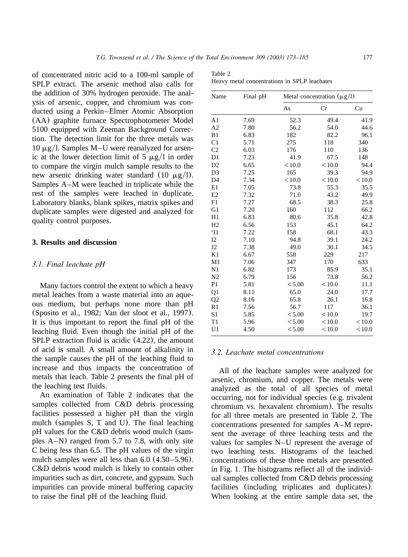of concentrated nitric acid to a 100-ml sample of SPLP extract. The arsenic method also calls for the addition of 30% hydrogen peroxide. The analysis of arsenic, copper, and chromium was conducted using a Perkin–Elmer Atomic Absorption (AA) graphite furnace Spectrophotometer Model 5100 equipped with Zeeman Background Correction. The detection limit for the three metals was  $10 \mu g/l$ . Samples M–U were reanalyzed for arsenic at the lower detection limit of 5  $\mu$ g/l in order to compare the virgin mulch sample results to the new arsenic drinking water standard (10  $\mu$ g/l). Samples A–M were leached in triplicate while the rest of the samples were leached in duplicate. Laboratory blanks, blank spikes, matrix spikes and duplicate samples were digested and analyzed for quality control purposes.

# **3. Results and discussion**

#### *3.1. Final leachate pH*

Many factors control the extent to which a heavy metal leaches from a waste material into an aqueous medium, but perhaps none more than pH ([Sposito et al., 1982; Van der sloot et al., 1997](#page-11-0)). It is thus important to report the final pH of the leaching fluid. Even though the initial pH of the SPLP extraction fluid is acidic (4.22), the amount of acid is small. A small amount of alkalinity in the sample causes the pH of the leaching fluid to increase and thus impacts the concentration of metals that leach. Table 2 presents the final pH of the leaching test fluids.

An examination of Table 2 indicates that the samples collected from C&D debris processing facilities possessed a higher pH than the virgin mulch (samples S, T and U). The final leaching pH values for the C&D debris wood mulch (samples A–N) ranged from 5.7 to 7.8, with only site C being less than 6.5. The pH values of the virgin mulch samples were all less than 6.0 (4.50–5.96). C&D debris wood mulch is likely to contain other impurities such as dirt, concrete, and gypsum. Such impurities can provide mineral buffering capacity to raise the final pH of the leaching fluid.

| Table 2 |  |  |  |
|---------|--|--|--|
|         |  |  |  |

Heavy metal concentrations in SPLP leachates

| Name           | Final pH | Metal concentration $(\mu g/l)$ |              |        |  |
|----------------|----------|---------------------------------|--------------|--------|--|
|                |          | As                              | Cr           | Cu     |  |
| A <sub>1</sub> | 7.69     | 52.3                            | 49.4         | 41.9   |  |
| A <sub>2</sub> | 7.80     | 56.2                            | 54.0         | 44.6   |  |
| B1             | 6.83     | 182                             | 82.2         | 96.1   |  |
| C1             | 5.71     | 275                             | 118          | 340    |  |
| C <sub>2</sub> | 6.03     | 176                             | 110          | 136    |  |
| D1             | 7.23     | 41.9                            | 67.5         | 148    |  |
| D2             | 6.65     | < 10.0                          | < 10.0       | 94.4   |  |
| D <sub>3</sub> | 7.25     | 165                             | 39.3         | 94.9   |  |
| D <sub>4</sub> | 7.34     | < 10.0                          | < 10.0       | < 10.0 |  |
| E1             | 7.05     | 73.8                            | 55.3         | 35.5   |  |
| E2             | 7.32     | 71.0                            | 43.2         | 49.9   |  |
| F1             | 7.27     | 68.5                            | 38.3         | 25.8   |  |
| G1             | 7.20     | 160                             | 112          | 66.2   |  |
| H1             | 6.83     | 80.6                            | 35.8         | 42.8   |  |
| H2             | 6.56     | 153                             | 45.1         | 64.2   |  |
| `I1            | 7.22     | 158                             | 68.1         | 43.3   |  |
| I2             | 7.10     | 94.8                            | 39.1         | 24.2   |  |
| J <sub>2</sub> | 7.38     | 49.0                            | 30.1         | 34.5   |  |
| K1             | 6.67     | 558                             | 229          | 217    |  |
| M1             | 7.06     | 347                             | 170          | 633    |  |
| N1             | 6.82     | 173                             | 85.9         | 35.1   |  |
| N <sub>2</sub> | 6.79     | 156                             | 73.8         | 56.2   |  |
| P <sub>1</sub> | 5.81     | < 5.00                          | < 10.0       | 11.1   |  |
| Q <sub>1</sub> | 8.11     | 65.0                            | 24.0         | 17.7   |  |
| Q <sub>2</sub> | 8.16     | 65.8                            | 26.1         | 16.8   |  |
| R1             | 7.56     | 56.7                            | 117          | 36.1   |  |
| S1             | 5.85     | < 5.00                          | < 10.0       | 19.7   |  |
| T1             | 5.96     | < 5.00                          | < 10.0       | < 10.0 |  |
| U1             | 4.50     | < 5.00                          | ${}_{<10.0}$ | < 10.0 |  |

## *3.2. Leachate metal concentrations*

All of the leachate samples were analyzed for arsenic, chromium, and copper. The metals were analyzed as the total of all species of metal occurring, not for individual species (e.g. trivalent chromium vs. hexavalent chromium). The results for all three metals are presented in Table 2. The concentrations presented for samples A–M represent the average of three leaching tests and the values for samples N–U represent the average of two leaching tests. Histograms of the leached concentrations of these three metals are presented in [Fig. 1.](#page-5-0) The histograms reflect all of the individual samples collected from C&D debris processing facilities (including triplicates and duplicates). When looking at the entire sample data set, the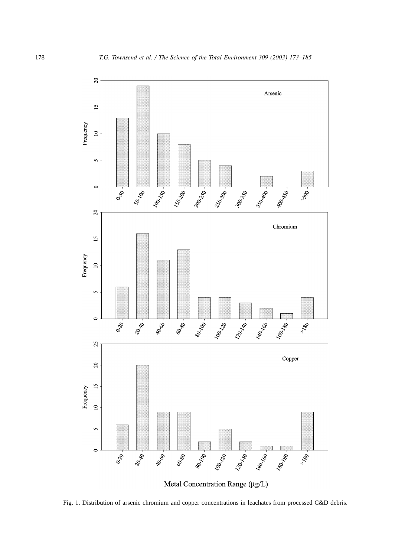<span id="page-5-0"></span>

Fig. 1. Distribution of arsenic chromium and copper concentrations in leachates from processed C&D debris.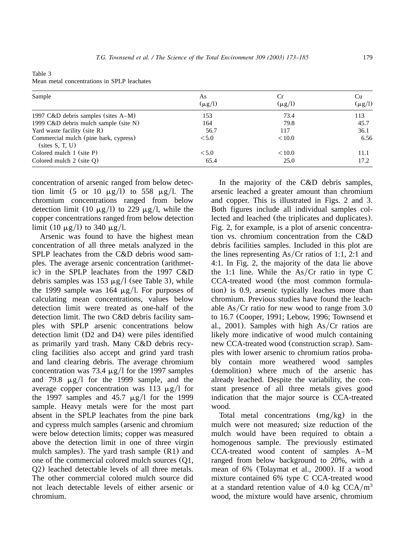| Table 3 |                                             |  |  |
|---------|---------------------------------------------|--|--|
|         | Mean metal concentrations in SPLP leachates |  |  |

| Sample                                                   | As          | Cr          | Cu          |
|----------------------------------------------------------|-------------|-------------|-------------|
|                                                          | $(\mu$ g/l) | $(\mu g/l)$ | $(\mu$ g/l) |
| 1997 $C&D$ debris samples (sites $A-M$ )                 | 153         | 73.4        | 113         |
| 1999 $C&D$ debris mulch sample (site N)                  | 164         | 79.8        | 45.7        |
| Yard waste facility (site R)                             | 56.7        | 117         | 36.1        |
| Commercial mulch (pine bark, cypress)<br>(sites S, T, U) | < 5.0       | < 10.0      | 6.56        |
| Colored mulch $1$ (site P)                               | < 5.0       | < 10.0      | 11.1        |
| Colored mulch $2$ (site $Q$ )                            | 65.4        | 25.0        | 17.2        |

concentration of arsenic ranged from below detection limit (5 or 10  $\mu$ g/l) to 558  $\mu$ g/l. The chromium concentrations ranged from below detection limit (10  $\mu$ g/l) to 229  $\mu$ g/l, while the copper concentrations ranged from below detection limit (10  $\mu$ g/l) to 340  $\mu$ g/l.

Arsenic was found to have the highest mean concentration of all three metals analyzed in the SPLP leachates from the C&D debris wood samples. The average arsenic concentration (arithmetic) in the SPLP leachates from the 1997 C&D debris samples was 153  $\mu$ g/l (see Table 3), while the 1999 sample was 164  $\mu$ g/l. For purposes of calculating mean concentrations, values below detection limit were treated as one-half of the detection limit. The two C&D debris facility samples with SPLP arsenic concentrations below detection limit (D2 and D4) were piles identified as primarily yard trash. Many C&D debris recycling facilities also accept and grind yard trash and land clearing debris. The average chromium concentration was 73.4  $\mu$ g/l for the 1997 samples and 79.8  $\mu$ g/1 for the 1999 sample, and the average copper concentration was 113  $\mu$ g/l for the 1997 samples and 45.7  $\mu$ g/l for the 1999 sample. Heavy metals were for the most part absent in the SPLP leachates from the pine bark and cypress mulch samples (arsenic and chromium were below detection limits; copper was measured above the detection limit in one of three virgin mulch samples). The yard trash sample (R1) and one of the commercial colored mulch sources (Q1, Q2) leached detectable levels of all three metals. The other commercial colored mulch source did not leach detectable levels of either arsenic or chromium.

In the majority of the C&D debris samples, arsenic leached a greater amount than chromium and copper. This is illustrated in [Figs. 2 and 3.](#page-7-0) Both figures include all individual samples collected and leached (the triplicates and duplicates). [Fig. 2,](#page-7-0) for example, is a plot of arsenic concentration vs. chromium concentration from the C&D debris facilities samples. Included in this plot are the lines representing  $As/Cr$  ratios of 1:1, 2:1 and 4:1. In [Fig. 2,](#page-7-0) the majority of the data lie above the 1:1 line. While the  $As/Cr$  ratio in type C CCA-treated wood (the most common formulation) is 0.9, arsenic typically leaches more than chromium. Previous studies have found the leachable As/Cr ratio for new wood to range from  $3.0$ to 16.7 ([Cooper, 1991; Lebow, 1996; Townsend et](#page-11-0) [al., 2001](#page-11-0)). Samples with high  $As/Cr$  ratios are likely more indicative of wood mulch containing new CCA-treated wood (construction scrap). Samples with lower arsenic to chromium ratios probably contain more weathered wood samples (demolition) where much of the arsenic has already leached. Despite the variability, the constant presence of all three metals gives good indication that the major source is CCA-treated wood.

Total metal concentrations  $(mg/kg)$  in the mulch were not measured; size reduction of the mulch would have been required to obtain a homogenous sample. The previously estimated CCA-treated wood content of samples A–M ranged from below background to 20%, with a mean of 6% ([Tolaymat et al., 2000](#page-11-0)). If a wood mixture contained 6% type C CCA-treated wood at a standard retention value of 4.0 kg  $CCA/m<sup>3</sup>$ wood, the mixture would have arsenic, chromium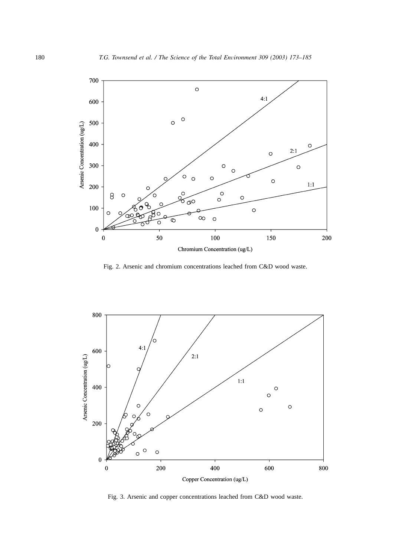<span id="page-7-0"></span>

Fig. 2. Arsenic and chromium concentrations leached from C&D wood waste.



Fig. 3. Arsenic and copper concentrations leached from C&D wood waste.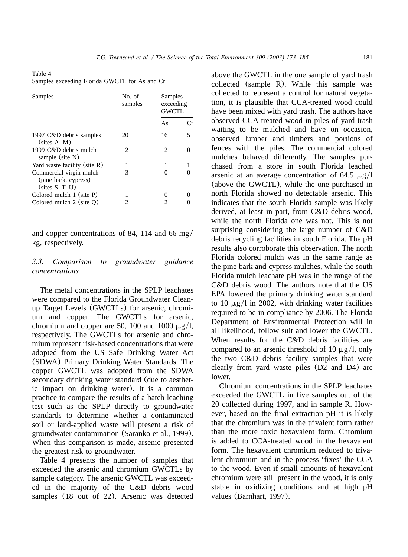Table 4 Samples exceeding Florida GWCTL for As and Cr

| Samples                                                            | No. of<br>samples | Samples<br>exceeding<br>GWCTL |    |
|--------------------------------------------------------------------|-------------------|-------------------------------|----|
|                                                                    |                   | As                            | Сr |
| 1997 C&D debris samples<br>$(sites A-M)$                           | 20                | 16                            | 5  |
| 1999 C&D debris mulch<br>sample (site N)                           | 2                 | $\mathcal{D}_{\mathcal{L}}$   |    |
| Yard waste facility (site R)                                       |                   | 1                             |    |
| Commercial virgin mulch<br>(pine bark, cypress)<br>(sites S. T. U) | 3                 |                               |    |
| Colored mulch $1$ (site P)                                         |                   |                               |    |
| Colored mulch $2$ (site $Q$ )                                      |                   |                               |    |

and copper concentrations of 84, 114 and 66 mg/ kg, respectively.

## *3.3. Comparison to groundwater guidance concentrations*

The metal concentrations in the SPLP leachates were compared to the Florida Groundwater Cleanup Target Levels (GWCTLs) for arsenic, chromium and copper. The GWCTLs for arsenic, chromium and copper are 50, 100 and 1000  $\mu$ g/l, respectively. The GWCTLs for arsenic and chromium represent risk-based concentrations that were adopted from the US Safe Drinking Water Act (SDWA) Primary Drinking Water Standards. The copper GWCTL was adopted from the SDWA secondary drinking water standard (due to aesthetic impact on drinking water). It is a common practice to compare the results of a batch leaching test such as the SPLP directly to groundwater standards to determine whether a contaminated soil or land-applied waste will present a risk of groundwater contamination ([Saranko et al., 1999](#page-11-0)). When this comparison is made, arsenic presented the greatest risk to groundwater.

Table 4 presents the number of samples that exceeded the arsenic and chromium GWCTLs by sample category. The arsenic GWCTL was exceeded in the majority of the C&D debris wood samples (18 out of 22). Arsenic was detected

above the GWCTL in the one sample of yard trash collected (sample R). While this sample was collected to represent a control for natural vegetation, it is plausible that CCA-treated wood could have been mixed with yard trash. The authors have observed CCA-treated wood in piles of yard trash waiting to be mulched and have on occasion, observed lumber and timbers and portions of fences with the piles. The commercial colored mulches behaved differently. The samples purchased from a store in south Florida leached arsenic at an average concentration of 64.5  $\mu$ g/l (above the GWCTL), while the one purchased in north Florida showed no detectable arsenic. This indicates that the south Florida sample was likely derived, at least in part, from C&D debris wood, while the north Florida one was not. This is not surprising considering the large number of C&D debris recycling facilities in south Florida. The pH results also corroborate this observation. The north Florida colored mulch was in the same range as the pine bark and cypress mulches, while the south Florida mulch leachate pH was in the range of the C&D debris wood. The authors note that the US EPA lowered the primary drinking water standard to 10  $\mu$ g/l in 2002, with drinking water facilities required to be in compliance by 2006. The Florida Department of Environmental Protection will in all likelihood, follow suit and lower the GWCTL. When results for the C&D debris facilities are compared to an arsenic threshold of 10  $\mu$ g/l, only the two C&D debris facility samples that were clearly from yard waste piles (D2 and D4) are lower.

Chromium concentrations in the SPLP leachates exceeded the GWCTL in five samples out of the 20 collected during 1997, and in sample R. However, based on the final extraction pH it is likely that the chromium was in the trivalent form rather than the more toxic hexavalent form. Chromium is added to CCA-treated wood in the hexavalent form. The hexavalent chromium reduced to trivalent chromium and in the process 'fixes' the CCA to the wood. Even if small amounts of hexavalent chromium were still present in the wood, it is only stable in oxidizing conditions and at high pH values ([Barnhart, 1997](#page-11-0)).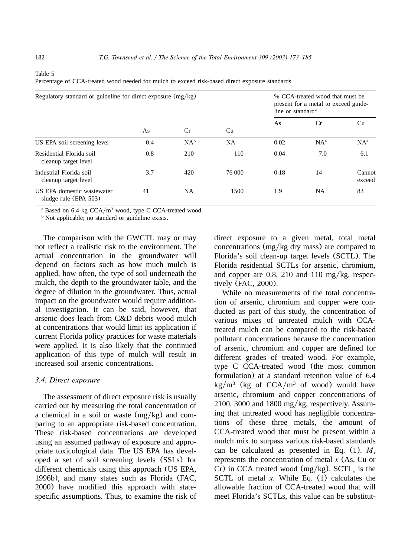<span id="page-9-0"></span>Table 5

| Percentage of CCA-treated wood needed for mulch to exceed risk-based direct exposure standards |  |  |
|------------------------------------------------------------------------------------------------|--|--|
|                                                                                                |  |  |

| Regulatory standard or guideline for direct exposure $(mg/kg)$ |     |        | % CCA-treated wood that must be<br>present for a metal to exceed guide-<br>line or standard <sup>a</sup> |      |        |                  |
|----------------------------------------------------------------|-----|--------|----------------------------------------------------------------------------------------------------------|------|--------|------------------|
|                                                                | As  | Cr     | Cu                                                                                                       | As   | Cr     | Cu               |
| US EPA soil screening level                                    | 0.4 | $NA^b$ | <b>NA</b>                                                                                                | 0.02 | $NA^a$ | $NA^a$           |
| Residential Florida soil<br>cleanup target level               | 0.8 | 210    | 110                                                                                                      | 0.04 | 7.0    | 6.1              |
| Industrial Florida soil<br>cleanup target level                | 3.7 | 420    | 76 000                                                                                                   | 0.18 | 14     | Cannot<br>exceed |
| US EPA domestic wastewater<br>sludge rule (EPA $503$ )         | 41  | NA     | 1500                                                                                                     | 1.9  | NA.    | 83               |

 $A$  Based on 6.4 kg CCA/m<sup>3</sup> wood, type C CCA-treated wood.

<sup>b</sup> Not applicable; no standard or guideline exists.

The comparison with the GWCTL may or may not reflect a realistic risk to the environment. The actual concentration in the groundwater will depend on factors such as how much mulch is applied, how often, the type of soil underneath the mulch, the depth to the groundwater table, and the degree of dilution in the groundwater. Thus, actual impact on the groundwater would require additional investigation. It can be said, however, that arsenic does leach from C&D debris wood mulch at concentrations that would limit its application if current Florida policy practices for waste materials were applied. It is also likely that the continued application of this type of mulch will result in increased soil arsenic concentrations.

## *3.4. Direct exposure*

The assessment of direct exposure risk is usually carried out by measuring the total concentration of a chemical in a soil or waste  $(mg/kg)$  and comparing to an appropriate risk-based concentration. These risk-based concentrations are developed using an assumed pathway of exposure and appropriate toxicological data. The US EPA has developed a set of soil screening levels (SSLs) for different chemicals using this approach ([US EPA,](#page-12-0) [1996b](#page-12-0)), and many states such as Florida ([FAC,](#page-11-0) [2000](#page-11-0)) have modified this approach with statespecific assumptions. Thus, to examine the risk of direct exposure to a given metal, total metal concentrations ( $mg/kg$  dry mass) are compared to Florida's soil clean-up target levels (SCTL). The Florida residential SCTLs for arsenic, chromium, and copper are 0.8, 210 and 110 mg/kg, respectively ([FAC, 2000](#page-11-0)).

While no measurements of the total concentration of arsenic, chromium and copper were conducted as part of this study, the concentration of various mixes of untreated mulch with CCAtreated mulch can be compared to the risk-based pollutant concentrations because the concentration of arsenic, chromium and copper are defined for different grades of treated wood. For example, type C CCA-treated wood (the most common formulation) at a standard retention value of 6.4 kg/m<sup>3</sup> (kg of CCA/m<sup>3</sup> of wood) would have arsenic, chromium and copper concentrations of 2100, 3000 and 1800 mg/kg, respectively. Assuming that untreated wood has negligible concentrations of these three metals, the amount of CCA-treated wood that must be present within a mulch mix to surpass various risk-based standards can be calculated as presented in [Eq.](#page-10-0) (1).  $M_r$ represents the concentration of metal *x* (As, Cu or Cr) in CCA treated wood (mg/kg). SCTL, is the SCTL of metal *x*. While [Eq.](#page-10-0) (1) calculates the allowable fraction of CCA-treated wood that will meet Florida's SCTLs, this value can be substitut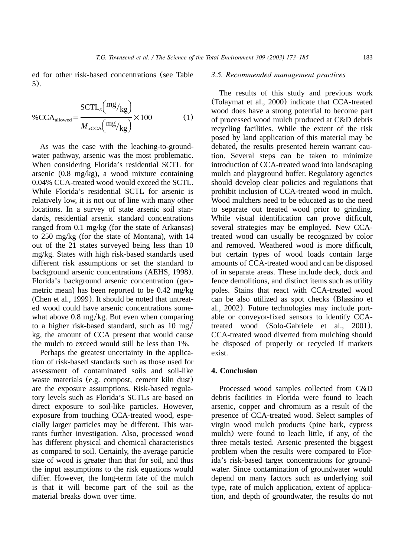<span id="page-10-0"></span>ed for other risk-based concentrations (see [Table](#page-9-0) [5](#page-9-0)).

$$
\%{\rm CCA}_{\rm allowed} = \frac{\rm SCTL_x \left(\frac{mg}{kg}\right)}{M_{\rm xCCA} \left(\frac{mg}{kg}\right)} \times 100\tag{1}
$$

As was the case with the leaching-to-groundwater pathway, arsenic was the most problematic. When considering Florida's residential SCTL for arsenic (0.8 mg/kg), a wood mixture containing 0.04% CCA-treated wood would exceed the SCTL. While Florida's residential SCTL for arsenic is relatively low, it is not out of line with many other locations. In a survey of state arsenic soil standards, residential arsenic standard concentrations ranged from 0.1 mg/kg (for the state of Arkansas) to 250 mg/kg (for the state of Montana), with 14 out of the 21 states surveyed being less than 10 mg/kg. States with high risk-based standards used different risk assumptions or set the standard to background arsenic concentrations [\(AEHS, 1998](#page-11-0)). Florida's background arsenic concentration (geometric mean) has been reported to be 0.42 mg/kg [\(Chen et al., 1999](#page-11-0)). It should be noted that untreated wood could have arsenic concentrations somewhat above  $0.8 \text{ mg/kg}$ . But even when comparing to a higher risk-based standard, such as  $10 \text{ mg}/$ kg, the amount of CCA present that would cause the mulch to exceed would still be less than 1%.

Perhaps the greatest uncertainty in the application of risk-based standards such as those used for assessment of contaminated soils and soil-like waste materials (e.g. compost, cement kiln dust) are the exposure assumptions. Risk-based regulatory levels such as Florida's SCTLs are based on direct exposure to soil-like particles. However, exposure from touching CCA-treated wood, especially larger particles may be different. This warrants further investigation. Also, processed wood has different physical and chemical characteristics as compared to soil. Certainly, the average particle size of wood is greater than that for soil, and thus the input assumptions to the risk equations would differ. However, the long-term fate of the mulch is that it will become part of the soil as the material breaks down over time.

#### *3.5. Recommended management practices*

The results of this study and previous work ([Tolaymat et al., 2000](#page-11-0)) indicate that CCA-treated wood does have a strong potential to become part of processed wood mulch produced at C&D debris recycling facilities. While the extent of the risk posed by land application of this material may be debated, the results presented herein warrant caution. Several steps can be taken to minimize introduction of CCA-treated wood into landscaping mulch and playground buffer. Regulatory agencies should develop clear policies and regulations that prohibit inclusion of CCA-treated wood in mulch. Wood mulchers need to be educated as to the need to separate out treated wood prior to grinding. While visual identification can prove difficult, several strategies may be employed. New CCAtreated wood can usually be recognized by color and removed. Weathered wood is more difficult, but certain types of wood loads contain large amounts of CCA-treated wood and can be disposed of in separate areas. These include deck, dock and fence demolitions, and distinct items such as utility poles. Stains that react with CCA-treated wood can be also utilized as spot checks ([Blassino et](#page-11-0) [al., 2002](#page-11-0)). Future technologies may include portable or conveyor-fixed sensors to identify CCAtreated wood ([Solo-Gabriele et al., 2001](#page-11-0)). CCA-treated wood diverted from mulching should be disposed of properly or recycled if markets exist.

# **4. Conclusion**

Processed wood samples collected from C&D debris facilities in Florida were found to leach arsenic, copper and chromium as a result of the presence of CCA-treated wood. Select samples of virgin wood mulch products (pine bark, cypress mulch) were found to leach little, if any, of the three metals tested. Arsenic presented the biggest problem when the results were compared to Florida's risk-based target concentrations for groundwater. Since contamination of groundwater would depend on many factors such as underlying soil type, rate of mulch application, extent of application, and depth of groundwater, the results do not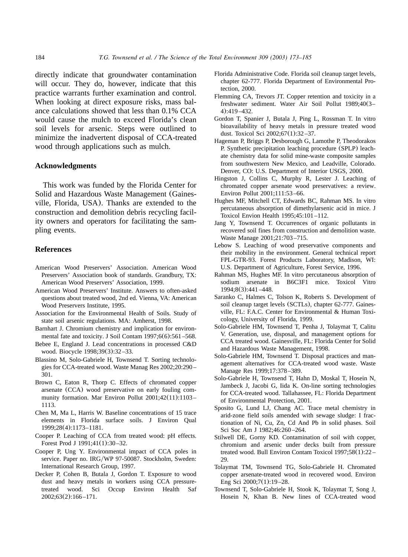<span id="page-11-0"></span>directly indicate that groundwater contamination will occur. They do, however, indicate that this practice warrants further examination and control. When looking at direct exposure risks, mass balance calculations showed that less than 0.1% CCA would cause the mulch to exceed Florida's clean soil levels for arsenic. Steps were outlined to minimize the inadvertent disposal of CCA-treated wood through applications such as mulch.

## **Acknowledgments**

This work was funded by the Florida Center for Solid and Hazardous Waste Management (Gainesville, Florida, USA). Thanks are extended to the construction and demolition debris recycling facility owners and operators for facilitating the sampling events.

## **References**

- American Wood Preservers' Association. American Wood Preservers' Association book of standards. Grandbury, TX: American Wood Preservers' Association, 1999.
- American Wood Preservers' Institute. Answers to often-asked questions about treated wood, 2nd ed. Vienna, VA: American Wood Preservers Institute, 1995.
- Association for the Environmental Health of Soils. Study of state soil arsenic regulations. MA: Amherst, 1998.
- Barnhart J. Chromium chemistry and implication for environmental fate and toxicity. J Soil Contam 1997;6(6):561-568.
- Bebee E, England J. Lead concentrations in processed C&D wood. Biocycle 1998;39(3):32 –33.
- Blassino M, Solo-Gabriele H, Townsend T. Sorting technologies for CCA-treated wood. Waste Manag Res 2002;20:290 – 301.
- Brown C, Eaton R, Thorp C. Effects of chromated copper arsenate (CCA) wood preservative on early fouling community formation. Mar Environ Pollut 2001;42(11):1103 – 1113.
- Chen M, Ma L, Harris W. Baseline concentrations of 15 trace elements in Florida surface soils. J Environ Qual 1999;28(4):1173–1181.
- Cooper P. Leaching of CCA from treated wood: pH effects. Forest Prod J 1991;41(1):30 –32.
- Cooper P, Ung Y. Environmental impact of CCA poles in service. Paper no. IRG/WP 97-50087. Stockholm, Sweden: International Research Group, 1997.
- Decker P, Cohen B, Butala J, Gordon T. Exposure to wood dust and heavy metals in workers using CCA pressuretreated wood. Sci Occup Environ Health Saf 2002;63(2):166 –171.
- Florida Administrative Code. Florida soil cleanup target levels, chapter 62-777. Florida Department of Environmental Protection, 2000.
- Flemming CA, Trevors JT. Copper retention and toxicity in a freshwater sediment. Water Air Soil Pollut 1989;40(3– 4):419 –432.
- Gordon T, Spanier J, Butala J, Ping L, Rossman T. In vitro bioavailability of heavy metals in pressure treated wood dust. Toxicol Sci 2002;67(1):32 –37.
- Hageman P, Briggs P, Desborough G, Lamothe P, Theodorakos P. Synthetic precipitation leaching procedure (SPLP) leachate chemistry data for solid mine-waste composite samples from southwestern New Mexico, and Leadville, Colorado. Denver, CO: U.S. Department of Interior USGS, 2000.
- Hingston J, Collins C, Murphy R, Lester J. Leaching of chromated copper arsenate wood preservatives: a review. Environ Pollut 2001;111:53 –66.
- Hughes MF, Mitchell CT, Edwards BC, Rahman MS. In vitro percutaneous absorption of dimethylarsenic acid in mice. J Toxicol Envion Health 1995;45:101 –112.
- Jang Y, Townsend T. Occurrences of organic pollutants in recovered soil fines from construction and demolition waste. Waste Manage 2001;21:703 –715.
- Lebow S. Leaching of wood preservative components and their mobility in the environment. General technical report FPL-GTR-93. Forest Products Laboratory, Madison, WI: U.S. Department of Agriculture, Forest Service, 1996.
- Rahman MS, Hughes MF. In vitro percutaneous absorption of sodium arsenate in B6C3F1 mice. Toxicol Vitro 1994;8(3):441 –448.
- Saranko C, Halmes C, Tolson K, Roberts S. Development of soil cleanup target levels (SCTLs), chapter 62-777. Gainesville, FL: F.A.C. Center for Environmental & Human Toxicology, University of Florida, 1999.
- Solo-Gabriele HM, Townsend T, Penha J, Tolaymat T, Calitu V. Generation, use, disposal, and management options for CCA treated wood. Gainesville, FL: Florida Center for Solid and Hazardous Waste Management, 1998.
- Solo-Gabriele HM, Townsend T. Disposal practices and management alternatives for CCA-treated wood waste. Waste Manage Res 1999;17:378 –389.
- Solo-Gabriele H, Townsend T, Hahn D, Moskal T, Hosein N, Jambeck J, Jacobi G, Iida K. On-line sorting technologies for CCA-treated wood. Tallahassee, FL: Florida Department of Environmental Protection, 2001.
- Sposito G, Lund LJ, Chang AC. Trace metal chemistry in arid-zone field soils amended with sewage sludge: I fractionation of Ni, Cu, Zn, Cd And Pb in solid phases. Soil Sci Soc Am J 1982;46:260 –264.
- Stilwell DE, Gorny KD. Contamination of soil with copper, chromium and arsenic under decks built from pressure treated wood. Bull Environ Contam Toxicol 1997;58(1):22 – 29.
- Tolaymat TM, Townsend TG, Solo-Gabriele H. Chromated copper arsenate-treated wood in recovered wood. Environ Eng Sci 2000;7(1):19 –28.
- Townsend T, Solo-Gabriele H, Stook K, Tolaymat T, Song J, Hosein N, Khan B. New lines of CCA-treated wood